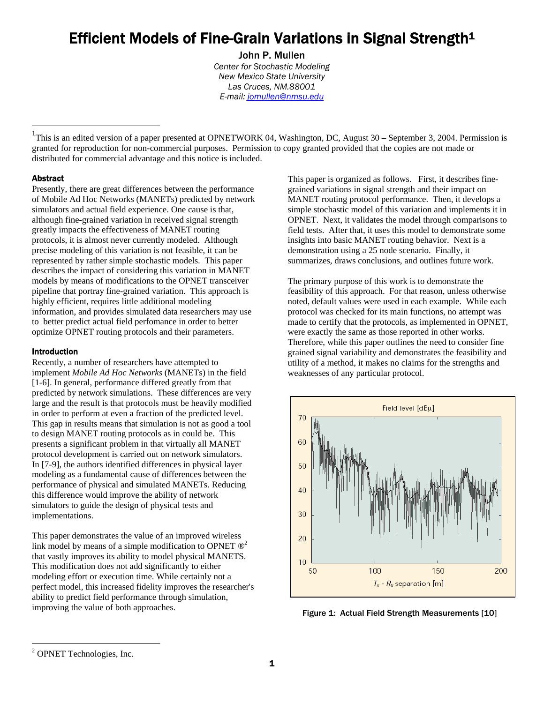# Efficient Models of Fine-Grain Variations in Signal Strength<sup>1</sup><br>John P. Mullen

*Center for Stochastic Modeling New Mexico State University Las Cruces, NM.88001 E-mail: jomullen@nmsu.edu*

<sup>1</sup>This is an edited version of a paper presented at OPNETWORK 04, Washington, DC, August 30 – September 3, 2004. Permission is granted for reproduction for non-commercial purposes. Permission to copy granted provided that the copies are not made or distributed for commercial advantage and this notice is included.

# Abstract

 $\overline{a}$ 

Presently, there are great differences between the performance of Mobile Ad Hoc Networks (MANETs) predicted by network simulators and actual field experience. One cause is that, although fine-grained variation in received signal strength greatly impacts the effectiveness of MANET routing protocols, it is almost never currently modeled. Although precise modeling of this variation is not feasible, it can be represented by rather simple stochastic models. This paper describes the impact of considering this variation in MANET models by means of modifications to the OPNET transceiver pipeline that portray fine-grained variation. This approach is highly efficient, requires little additional modeling information, and provides simulated data researchers may use to better predict actual field perfomance in order to better optimize OPNET routing protocols and their parameters.

## Introduction

Recently, a number of researchers have attempted to implement *Mobile Ad Hoc Networks* (MANETs) in the field [1-6]. In general, performance differed greatly from that predicted by network simulations. These differences are very large and the result is that protocols must be heavily modified in order to perform at even a fraction of the predicted level. This gap in results means that simulation is not as good a tool to design MANET routing protocols as in could be. This presents a significant problem in that virtually all MANET protocol development is carried out on network simulators. In [7-9], the authors identified differences in physical layer modeling as a fundamental cause of differences between the performance of physical and simulated MANETs. Reducing this difference would improve the ability of network simulators to guide the design of physical tests and implementations.

This paper demonstrates the value of an improved wireless link model by means of a simple modification to OPNET  $\mathbb{D}^2$ that vastly improves its ability to model physical MANETS. This modification does not add significantly to either modeling effort or execution time. While certainly not a perfect model, this increased fidelity improves the researcher's ability to predict field performance through simulation, improving the value of both approaches.

This paper is organized as follows. First, it describes finegrained variations in signal strength and their impact on MANET routing protocol performance. Then, it develops a simple stochastic model of this variation and implements it in OPNET. Next, it validates the model through comparisons to field tests. After that, it uses this model to demonstrate some insights into basic MANET routing behavior. Next is a demonstration using a 25 node scenario. Finally, it summarizes, draws conclusions, and outlines future work.

The primary purpose of this work is to demonstrate the feasibility of this approach. For that reason, unless otherwise noted, default values were used in each example. While each protocol was checked for its main functions, no attempt was made to certify that the protocols, as implemented in OPNET, were exactly the same as those reported in other works. Therefore, while this paper outlines the need to consider fine grained signal variability and demonstrates the feasibility and utility of a method, it makes no claims for the strengths and weaknesses of any particular protocol.



Figure 1: Actual Field Strength Measurements [10]

 $\overline{a}$ 

<sup>&</sup>lt;sup>2</sup> OPNET Technologies, Inc.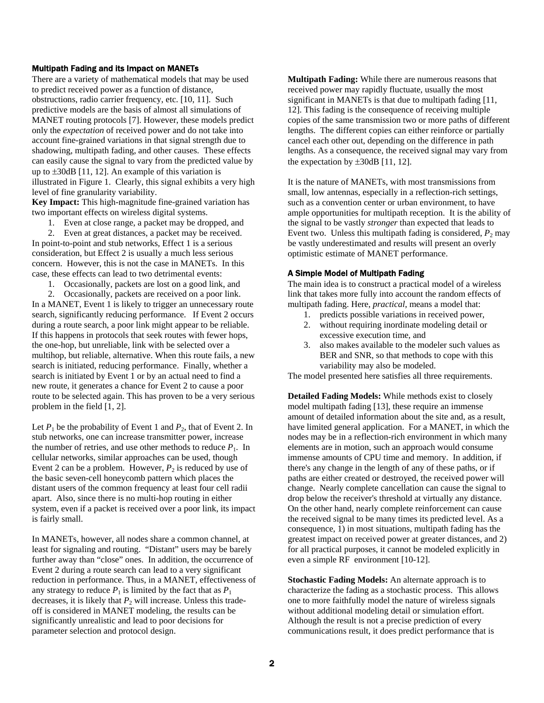# Multipath Fading and its Impact on MANETs

There are a variety of mathematical models that may be used to predict received power as a function of distance, obstructions, radio carrier frequency, etc. [10, 11]. Such predictive models are the basis of almost all simulations of MANET routing protocols [7]. However, these models predict only the *expectation* of received power and do not take into account fine-grained variations in that signal strength due to shadowing, multipath fading, and other causes. These effects can easily cause the signal to vary from the predicted value by up to  $\pm 30$ dB [11, 12]. An example of this variation is illustrated in Figure 1. Clearly, this signal exhibits a very high level of fine granularity variability.

**Key Impact:** This high-magnitude fine-grained variation has two important effects on wireless digital systems.

1. Even at close range, a packet may be dropped, and

2. Even at great distances, a packet may be received. In point-to-point and stub networks, Effect 1 is a serious consideration, but Effect 2 is usually a much less serious concern. However, this is not the case in MANETs. In this case, these effects can lead to two detrimental events:

1. Occasionally, packets are lost on a good link, and

2. Occasionally, packets are received on a poor link. In a MANET, Event 1 is likely to trigger an unnecessary route search, significantly reducing performance. If Event 2 occurs during a route search, a poor link might appear to be reliable. If this happens in protocols that seek routes with fewer hops, the one-hop, but unreliable, link with be selected over a multihop, but reliable, alternative. When this route fails, a new search is initiated, reducing performance. Finally, whether a search is initiated by Event 1 or by an actual need to find a new route, it generates a chance for Event 2 to cause a poor route to be selected again. This has proven to be a very serious problem in the field [1, 2].

Let  $P_1$  be the probability of Event 1 and  $P_2$ , that of Event 2. In stub networks, one can increase transmitter power, increase the number of retries, and use other methods to reduce  $P_1$ . In cellular networks, similar approaches can be used, though Event 2 can be a problem. However,  $P_2$  is reduced by use of the basic seven-cell honeycomb pattern which places the distant users of the common frequency at least four cell radii apart. Also, since there is no multi-hop routing in either system, even if a packet is received over a poor link, its impact is fairly small.

In MANETs, however, all nodes share a common channel, at least for signaling and routing. "Distant" users may be barely further away than "close" ones. In addition, the occurrence of Event 2 during a route search can lead to a very significant reduction in performance. Thus, in a MANET, effectiveness of any strategy to reduce  $P_1$  is limited by the fact that as  $P_1$ decreases, it is likely that  $P_2$  will increase. Unless this tradeoff is considered in MANET modeling, the results can be significantly unrealistic and lead to poor decisions for parameter selection and protocol design.

**Multipath Fading:** While there are numerous reasons that received power may rapidly fluctuate, usually the most significant in MANETs is that due to multipath fading [11, 12]. This fading is the consequence of receiving multiple copies of the same transmission two or more paths of different lengths. The different copies can either reinforce or partially cancel each other out, depending on the difference in path lengths. As a consequence, the received signal may vary from the expectation by  $\pm 30$ dB [11, 12].

It is the nature of MANETs, with most transmissions from small, low antennas, especially in a reflection-rich settings, such as a convention center or urban environment, to have ample opportunities for multipath reception. It is the ability of the signal to be vastly *stronger* than expected that leads to Event two. Unless this multipath fading is considered,  $P_2$  may be vastly underestimated and results will present an overly optimistic estimate of MANET performance.

### A Simple Model of Multipath Fading

The main idea is to construct a practical model of a wireless link that takes more fully into account the random effects of multipath fading. Here, *practical*, means a model that:

- 1. predicts possible variations in received power,
- 2. without requiring inordinate modeling detail or excessive execution time, and
- 3. also makes available to the modeler such values as BER and SNR, so that methods to cope with this variability may also be modeled.

The model presented here satisfies all three requirements.

**Detailed Fading Models:** While methods exist to closely model multipath fading [13], these require an immense amount of detailed information about the site and, as a result, have limited general application. For a MANET, in which the nodes may be in a reflection-rich environment in which many elements are in motion, such an approach would consume immense amounts of CPU time and memory. In addition, if there's any change in the length of any of these paths, or if paths are either created or destroyed, the received power will change. Nearly complete cancellation can cause the signal to drop below the receiver's threshold at virtually any distance. On the other hand, nearly complete reinforcement can cause the received signal to be many times its predicted level. As a consequence, 1) in most situations, multipath fading has the greatest impact on received power at greater distances, and 2) for all practical purposes, it cannot be modeled explicitly in even a simple RF environment [10-12].

**Stochastic Fading Models:** An alternate approach is to characterize the fading as a stochastic process. This allows one to more faithfully model the nature of wireless signals without additional modeling detail or simulation effort. Although the result is not a precise prediction of every communications result, it does predict performance that is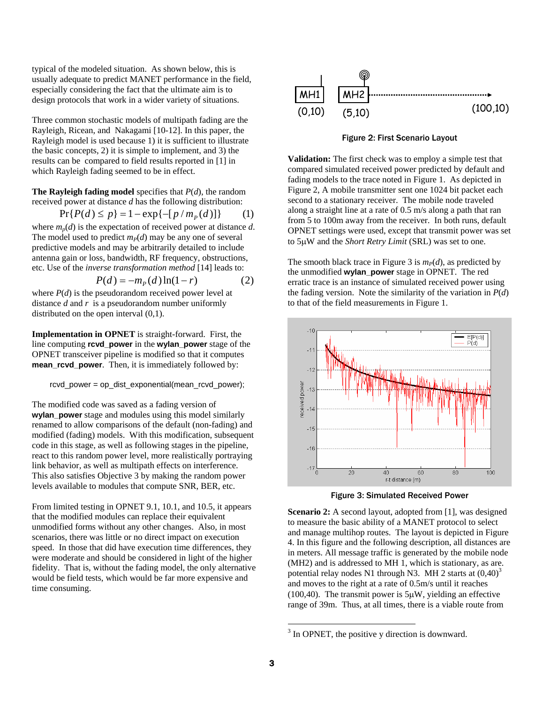typical of the modeled situation. As shown below, this is usually adequate to predict MANET performance in the field, especially considering the fact that the ultimate aim is to design protocols that work in a wider variety of situations.

Three common stochastic models of multipath fading are the Rayleigh, Ricean, and Nakagami [10-12]. In this paper, the Rayleigh model is used because 1) it is sufficient to illustrate the basic concepts, 2) it is simple to implement, and 3) the results can be compared to field results reported in [1] in which Rayleigh fading seemed to be in effect.

**The Rayleigh fading model** specifies that *P*(*d*), the random received power at distance *d* has the following distribution:

$$
Pr{P(d) \le p} = 1 - exp{-[p/m_p(d)]}
$$
 (1)

where  $m_p(d)$  is the expectation of received power at distance  $d$ . The model used to predict  $m<sub>P</sub>(d)$  may be any one of several predictive models and may be arbitrarily detailed to include antenna gain or loss, bandwidth, RF frequency, obstructions, etc. Use of the *inverse transformation method* [14] leads to:

$$
P(d) = -mP(d)\ln(1-r)
$$
 (2)

where  $P(d)$  is the pseudorandom received power level at distance *d* and *r* is a pseudorandom number uniformly distributed on the open interval (0,1).

**Implementation in OPNET** is straight-forward. First, the line computing **rcvd\_power** in the **wylan\_power** stage of the OPNET transceiver pipeline is modified so that it computes **mean\_rcvd\_power**. Then, it is immediately followed by:

 $rcvd$  power = op\_dist\_exponential(mean\_rcvd\_power);

The modified code was saved as a fading version of **wylan\_power** stage and modules using this model similarly renamed to allow comparisons of the default (non-fading) and modified (fading) models. With this modification, subsequent code in this stage, as well as following stages in the pipeline, react to this random power level, more realistically portraying link behavior, as well as multipath effects on interference. This also satisfies Objective 3 by making the random power levels available to modules that compute SNR, BER, etc.

From limited testing in OPNET 9.1, 10.1, and 10.5, it appears that the modified modules can replace their equivalent unmodified forms without any other changes. Also, in most scenarios, there was little or no direct impact on execution speed. In those that did have execution time differences, they were moderate and should be considered in light of the higher fidelity. That is, without the fading model, the only alternative would be field tests, which would be far more expensive and time consuming.



Figure 2: First Scenario Layout

**Validation:** The first check was to employ a simple test that compared simulated received power predicted by default and fading models to the trace noted in Figure 1. As depicted in Figure 2, A mobile transmitter sent one 1024 bit packet each second to a stationary receiver. The mobile node traveled along a straight line at a rate of 0.5 m/s along a path that ran from 5 to 100m away from the receiver. In both runs, default OPNET settings were used, except that transmit power was set to 5μW and the *Short Retry Limit* (SRL) was set to one.

The smooth black trace in Figure 3 is  $m<sub>P</sub>(d)$ , as predicted by the unmodified **wylan\_power** stage in OPNET. The red erratic trace is an instance of simulated received power using the fading version. Note the similarity of the variation in  $P(d)$ to that of the field measurements in Figure 1.



Figure 3: Simulated Received Power

**Scenario 2:** A second layout, adopted from [1], was designed to measure the basic ability of a MANET protocol to select and manage multihop routes. The layout is depicted in Figure 4. In this figure and the following description, all distances are in meters. All message traffic is generated by the mobile node (MH2) and is addressed to MH 1, which is stationary, as are. potential relay nodes N1 through N3. MH 2 starts at  $(0.40)^3$ and moves to the right at a rate of 0.5m/s until it reaches (100,40). The transmit power is  $5\mu$ W, yielding an effective range of 39m. Thus, at all times, there is a viable route from

 $\overline{a}$ 

 $3$  In OPNET, the positive y direction is downward.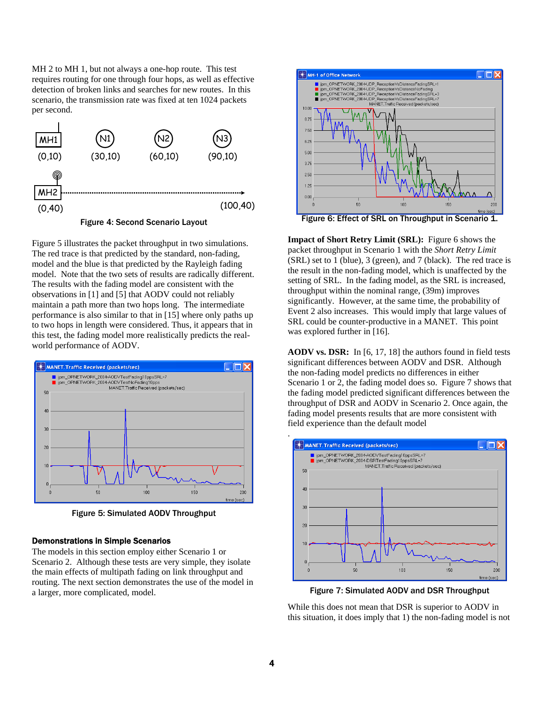MH 2 to MH 1, but not always a one-hop route. This test requires routing for one through four hops, as well as effective detection of broken links and searches for new routes. In this scenario, the transmission rate was fixed at ten 1024 packets per second.



Figure 4: Second Scenario Layout

Figure 5 illustrates the packet throughput in two simulations. The red trace is that predicted by the standard, non-fading, model and the blue is that predicted by the Rayleigh fading model. Note that the two sets of results are radically different. The results with the fading model are consistent with the observations in [1] and [5] that AODV could not reliably maintain a path more than two hops long. The intermediate performance is also similar to that in [15] where only paths up to two hops in length were considered. Thus, it appears that in this test, the fading model more realistically predicts the realworld performance of AODV.



Figure 5: Simulated AODV Throughput

### Demonstrations in Simple Scenarios

The models in this section employ either Scenario 1 or Scenario 2. Although these tests are very simple, they isolate the main effects of multipath fading on link throughput and routing. The next section demonstrates the use of the model in a larger, more complicated, model.



Figure 6: Effect of SRL on Throughput in Scenario 1.

**Impact of Short Retry Limit (SRL):** Figure 6 shows the packet throughput in Scenario 1 with the *Short Retry Limit* (SRL) set to 1 (blue), 3 (green), and 7 (black). The red trace is the result in the non-fading model, which is unaffected by the setting of SRL. In the fading model, as the SRL is increased, throughput within the nominal range, (39m) improves significantly. However, at the same time, the probability of Event 2 also increases. This would imply that large values of SRL could be counter-productive in a MANET. This point was explored further in [16].

**AODV vs. DSR:** In [6, 17, 18] the authors found in field tests significant differences between AODV and DSR. Although the non-fading model predicts no differences in either Scenario 1 or 2, the fading model does so. Figure 7 shows that the fading model predicted significant differences between the throughput of DSR and AODV in Scenario 2. Once again, the fading model presents results that are more consistent with field experience than the default model



Figure 7: Simulated AODV and DSR Throughput

While this does not mean that DSR is superior to AODV in this situation, it does imply that 1) the non-fading model is not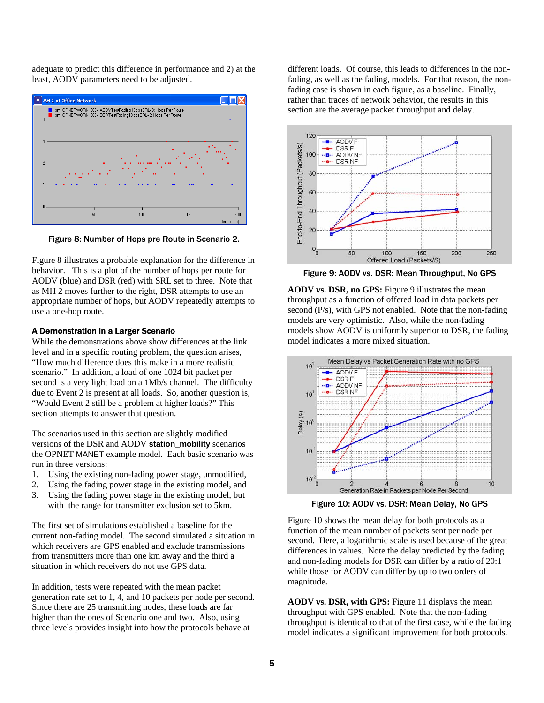adequate to predict this difference in performance and 2) at the least, AODV parameters need to be adjusted.



Figure 8: Number of Hops pre Route in Scenario 2.

Figure 8 illustrates a probable explanation for the difference in behavior. This is a plot of the number of hops per route for AODV (blue) and DSR (red) with SRL set to three. Note that as MH 2 moves further to the right, DSR attempts to use an appropriate number of hops, but AODV repeatedly attempts to use a one-hop route.

# A Demonstration in a Larger Scenario

While the demonstrations above show differences at the link level and in a specific routing problem, the question arises, "How much difference does this make in a more realistic scenario." In addition, a load of one 1024 bit packet per second is a very light load on a 1Mb/s channel. The difficulty due to Event 2 is present at all loads. So, another question is, "Would Event 2 still be a problem at higher loads?" This section attempts to answer that question.

The scenarios used in this section are slightly modified versions of the DSR and AODV **station\_mobility** scenarios the OPNET MANET example model. Each basic scenario was run in three versions:

- 1. Using the existing non-fading power stage, unmodified,
- 2. Using the fading power stage in the existing model, and
- 3. Using the fading power stage in the existing model, but with the range for transmitter exclusion set to 5km.

The first set of simulations established a baseline for the current non-fading model. The second simulated a situation in which receivers are GPS enabled and exclude transmissions from transmitters more than one km away and the third a situation in which receivers do not use GPS data.

In addition, tests were repeated with the mean packet generation rate set to 1, 4, and 10 packets per node per second. Since there are 25 transmitting nodes, these loads are far higher than the ones of Scenario one and two. Also, using three levels provides insight into how the protocols behave at

different loads. Of course, this leads to differences in the nonfading, as well as the fading, models. For that reason, the nonfading case is shown in each figure, as a baseline. Finally, rather than traces of network behavior, the results in this section are the average packet throughput and delay.



Figure 9: AODV vs. DSR: Mean Throughput, No GPS

AODV vs. DSR, no GPS: Figure 9 illustrates the mean throughput as a function of offered load in data packets per second (P/s), with GPS not enabled. Note that the non-fading models are very optimistic. Also, while the non-fading models show AODV is uniformly superior to DSR, the fading model indicates a more mixed situation.



Figure 10: AODV vs. DSR: Mean Delay, No GPS

Figure 10 shows the mean delay for both protocols as a function of the mean number of packets sent per node per second. Here, a logarithmic scale is used because of the great differences in values. Note the delay predicted by the fading and non-fading models for DSR can differ by a ratio of 20:1 while those for AODV can differ by up to two orders of magnitude.

**AODV vs. DSR, with GPS:** Figure 11 displays the mean throughput with GPS enabled. Note that the non-fading throughput is identical to that of the first case, while the fading model indicates a significant improvement for both protocols.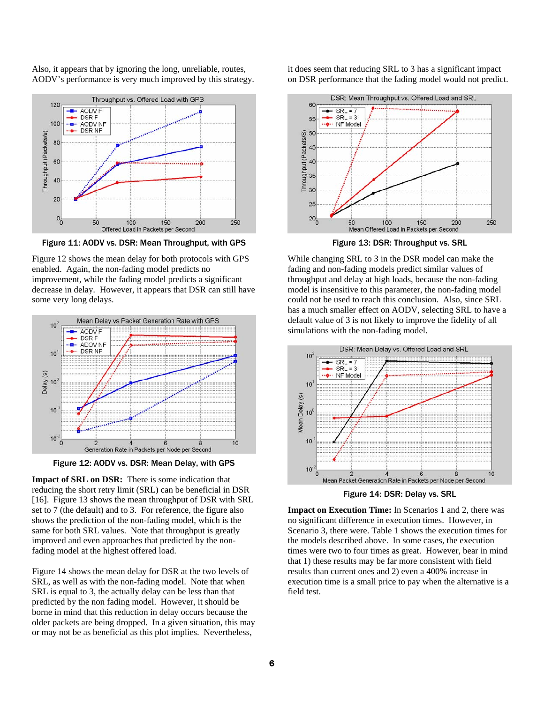Also, it appears that by ignoring the long, unreliable, routes, AODV's performance is very much improved by this strategy.



Figure 11: AODV vs. DSR: Mean Throughput, with GPS

Figure 12 shows the mean delay for both protocols with GPS enabled. Again, the non-fading model predicts no improvement, while the fading model predicts a significant decrease in delay. However, it appears that DSR can still have some very long delays.



Figure 12: AODV vs. DSR: Mean Delay, with GPS

**Impact of SRL on DSR:** There is some indication that reducing the short retry limit (SRL) can be beneficial in DSR [16]. Figure 13 shows the mean throughput of DSR with SRL set to 7 (the default) and to 3. For reference, the figure also shows the prediction of the non-fading model, which is the same for both SRL values. Note that throughput is greatly improved and even approaches that predicted by the nonfading model at the highest offered load.

Figure 14 shows the mean delay for DSR at the two levels of SRL, as well as with the non-fading model. Note that when SRL is equal to 3, the actually delay can be less than that predicted by the non fading model. However, it should be borne in mind that this reduction in delay occurs because the older packets are being dropped. In a given situation, this may or may not be as beneficial as this plot implies. Nevertheless,

it does seem that reducing SRL to 3 has a significant impact on DSR performance that the fading model would not predict.



Figure 13: DSR: Throughput vs. SRL

While changing SRL to 3 in the DSR model can make the fading and non-fading models predict similar values of throughput and delay at high loads, because the non-fading model is insensitive to this parameter, the non-fading model could not be used to reach this conclusion. Also, since SRL has a much smaller effect on AODV, selecting SRL to have a default value of 3 is not likely to improve the fidelity of all simulations with the non-fading model.



Figure 14: DSR: Delay vs. SRL

**Impact on Execution Time:** In Scenarios 1 and 2, there was no significant difference in execution times. However, in Scenario 3, there were. Table 1 shows the execution times for the models described above. In some cases, the execution times were two to four times as great. However, bear in mind that 1) these results may be far more consistent with field results than current ones and 2) even a 400% increase in execution time is a small price to pay when the alternative is a field test.